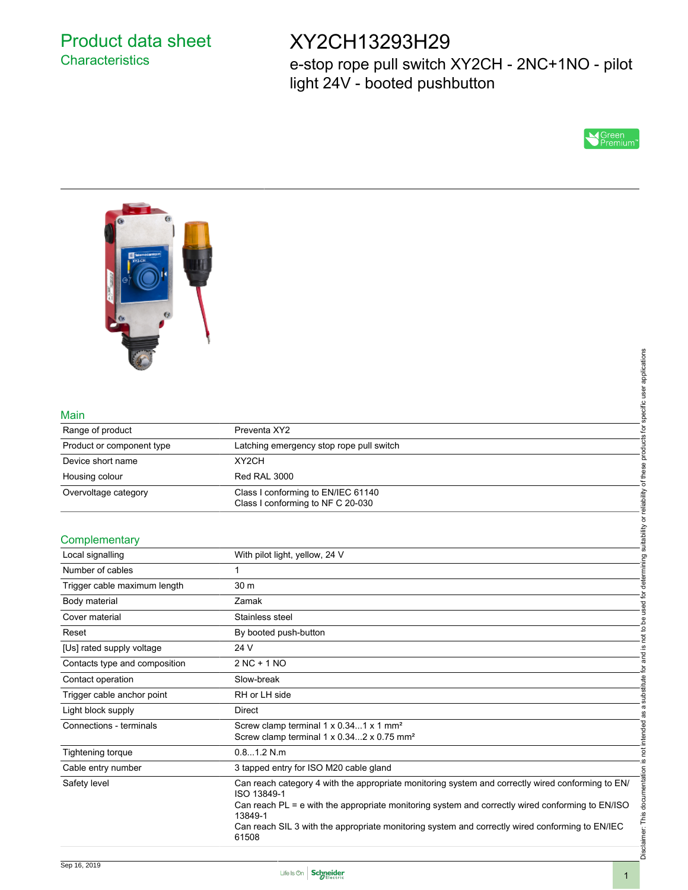## Product data sheet **Characteristics**

# XY2CH13293H29

e-stop rope pull switch XY2CH - 2NC+1NO - pilot light 24V - booted pushbutton





#### Main

| Range of product          | Preventa XY2                                                            |
|---------------------------|-------------------------------------------------------------------------|
| Product or component type | Latching emergency stop rope pull switch                                |
| Device short name         | XY <sub>2</sub> CH                                                      |
| Housing colour            | Red RAL 3000                                                            |
| Overvoltage category      | Class I conforming to EN/IEC 61140<br>Class I conforming to NF C 20-030 |

#### **Complementary**

| Main                          |                                                                                                                  | specific user applications          |
|-------------------------------|------------------------------------------------------------------------------------------------------------------|-------------------------------------|
| Range of product              | Preventa XY2                                                                                                     |                                     |
| Product or component type     | Latching emergency stop rope pull switch                                                                         | products for                        |
| Device short name             | XY2CH                                                                                                            |                                     |
| Housing colour                | Red RAL 3000                                                                                                     |                                     |
| Overvoltage category          | Class I conforming to EN/IEC 61140<br>Class I conforming to NF C 20-030                                          | suitability or reliability of these |
|                               |                                                                                                                  |                                     |
| Complementary                 |                                                                                                                  |                                     |
| Local signalling              | With pilot light, yellow, 24 V                                                                                   |                                     |
| Number of cables              | $\mathbf{1}$                                                                                                     | determining                         |
| Trigger cable maximum length  | 30 m                                                                                                             |                                     |
| Body material                 | Zamak                                                                                                            | not to be used for                  |
| Cover material                | Stainless steel                                                                                                  |                                     |
| Reset                         | By booted push-button                                                                                            |                                     |
| [Us] rated supply voltage     | 24 V                                                                                                             | <u>.ഗ</u>                           |
| Contacts type and composition | $2NC + 1NO$                                                                                                      | and<br>đ                            |
| Contact operation             | Slow-break                                                                                                       |                                     |
| Trigger cable anchor point    | RH or LH side                                                                                                    | substitute                          |
| Light block supply            | <b>Direct</b>                                                                                                    |                                     |
| Connections - terminals       | Screw clamp terminal 1 x 0.341 x 1 mm <sup>2</sup><br>Screw clamp terminal 1 x 0.342 x 0.75 mm <sup>2</sup>      | not intended as a                   |
| Tightening torque             | 0.81.2 N.m                                                                                                       |                                     |
| Cable entry number            | 3 tapped entry for ISO M20 cable gland                                                                           | <u>ي</u> .                          |
| Safety level                  | Can reach category 4 with the appropriate monitoring system and correctly wired conforming to EN/<br>ISO 13849-1 | Disclaimer: This documentation      |
|                               | Can reach PL = e with the appropriate monitoring system and correctly wired conforming to EN/ISO<br>13849-1      |                                     |
|                               | Can reach SIL 3 with the appropriate monitoring system and correctly wired conforming to EN/IEC<br>61508         |                                     |
|                               |                                                                                                                  |                                     |